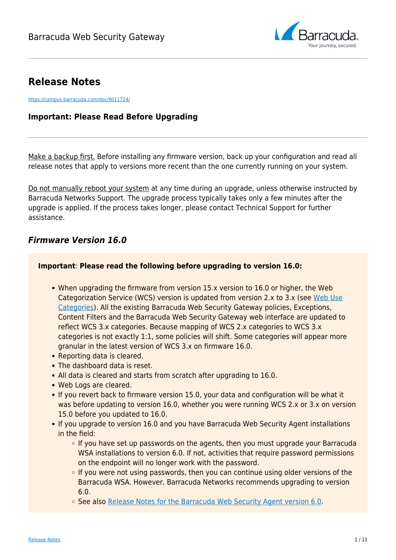

# **Release Notes**

<https://campus.barracuda.com/doc/9011724/>

## **Important: Please Read Before Upgrading**

Make a backup first. Before installing any firmware version, back up your configuration and read all release notes that apply to versions more recent than the one currently running on your system.

Do not manually reboot your system at any time during an upgrade, unless otherwise instructed by Barracuda Networks Support. The upgrade process typically takes only a few minutes after the upgrade is applied. If the process takes longer, please contact Technical Support for further assistance.

## *Firmware Version 16.0*

## **Important**: **Please read the following before upgrading to version 16.0:**

- When upgrading the firmware from version 15.x version to 16.0 or higher, the Web Categorization Service (WCS) version is updated from version 2.x to 3.x (see [Web Use](http://campus.barracuda.com/doc/90441559/) [Categories\)](http://campus.barracuda.com/doc/90441559/). All the existing Barracuda Web Security Gateway policies, Exceptions, Content Filters and the Barracuda Web Security Gateway web interface are updated to reflect WCS 3.x categories. Because mapping of WCS 2.x categories to WCS 3.x categories is not exactly 1:1, some policies will shift. Some categories will appear more granular in the latest version of WCS 3.x on firmware 16.0.
- Reporting data is cleared.
- The dashboard data is reset.
- All data is cleared and starts from scratch after upgrading to 16.0.
- Web Logs are cleared.
- If you revert back to firmware version 15.0, your data and configuration will be what it was before updating to version 16.0, whether you were running WCS 2.x or 3.x on version 15.0 before you updated to 16.0.
- If you upgrade to version 16.0 and you have Barracuda Web Security Agent installations in the field:
	- $\circ$  If you have set up passwords on the agents, then you must upgrade your Barracuda WSA installations to version 6.0. If not, activities that require password permissions on the endpoint will no longer work with the password.
	- $\circ$  If you were not using passwords, then you can continue using older versions of the Barracuda WSA. However, Barracuda Networks recommends upgrading to version 6.0.
	- See also [Release Notes for the Barracuda Web Security Agent version 6.0](http://campus.barracuda.com/doc/39815304/).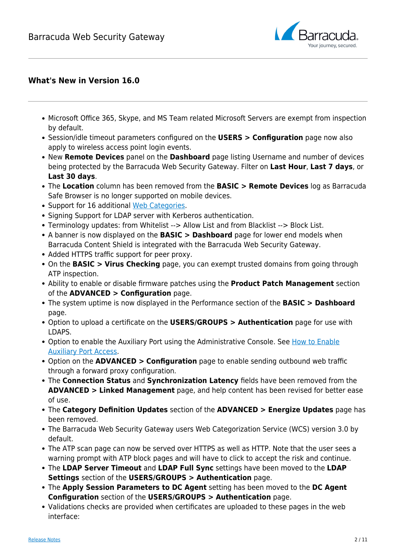

## **What's New in Version 16.0**

- Microsoft Office 365, Skype, and MS Team related Microsoft Servers are exempt from inspection by default.
- Session/idle timeout parameters configured on the **USERS > Configuration** page now also apply to wireless access point login events.
- New **Remote Devices** panel on the **Dashboard** page listing Username and number of devices being protected by the Barracuda Web Security Gateway. Filter on **Last Hour**, **Last 7 days**, or **Last 30 days**.
- The **Location** column has been removed from the **BASIC > Remote Devices** log as Barracuda Safe Browser is no longer supported on mobile devices.
- Support for 16 additional [Web Categories](http://campus.barracuda.com/doc/90441559/).
- Signing Support for LDAP server with Kerberos authentication.
- Terminology updates: from Whitelist --> Allow List and from Blacklist --> Block List.
- A banner is now displayed on the **BASIC > Dashboard** page for lower end models when Barracuda Content Shield is integrated with the Barracuda Web Security Gateway.
- Added HTTPS traffic support for peer proxy.
- On the **BASIC > Virus Checking** page, you can exempt trusted domains from going through ATP inspection.
- Ability to enable or disable firmware patches using the **Product Patch Management** section of the **ADVANCED > Configuration** page.
- The system uptime is now displayed in the Performance section of the **BASIC > Dashboard** page.
- Option to upload a certificate on the **USERS/GROUPS > Authentication** page for use with LDAPS.
- Option to enable the Auxiliary Port using the Administrative Console. See [How to Enable](http://campus.barracuda.com/doc/96014522/) [Auxiliary Port Access.](http://campus.barracuda.com/doc/96014522/)
- Option on the **ADVANCED > Configuration** page to enable sending outbound web traffic through a forward proxy configuration.
- The **Connection Status** and **Synchronization Latency** fields have been removed from the **ADVANCED > Linked Management** page, and help content has been revised for better ease of use.
- The **Category Definition Updates** section of the **ADVANCED > Energize Updates** page has been removed.
- The Barracuda Web Security Gateway users Web Categorization Service (WCS) version 3.0 by default.
- The ATP scan page can now be served over HTTPS as well as HTTP. Note that the user sees a warning prompt with ATP block pages and will have to click to accept the risk and continue.
- The **LDAP Server Timeout** and **LDAP Full Sync** settings have been moved to the **LDAP Settings** section of the **USERS/GROUPS > Authentication** page.
- The **Apply Session Parameters to DC Agent** setting has been moved to the **DC Agent Configuration** section of the **USERS/GROUPS > Authentication** page.
- Validations checks are provided when certificates are uploaded to these pages in the web interface: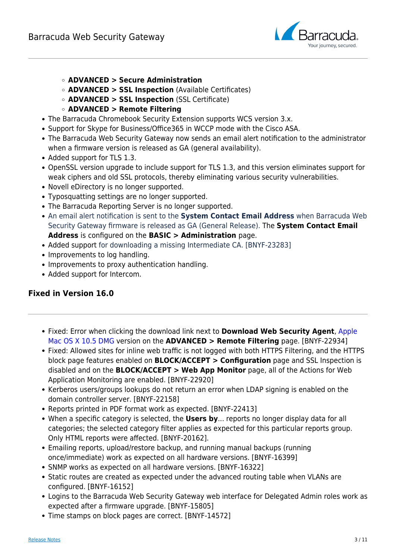

- **ADVANCED > Secure Administration**
- **ADVANCED > SSL Inspection** (Available Certificates)
- **ADVANCED > SSL Inspection** (SSL Certificate)
- **ADVANCED > Remote Filtering**
- The Barracuda Chromebook Security Extension supports WCS version 3.x.
- Support for Skype for Business/Office365 in WCCP mode with the Cisco ASA.
- The Barracuda Web Security Gateway now sends an email alert notification to the administrator when a firmware version is released as GA (general availability).
- Added support for TLS 1.3.
- OpenSSL version upgrade to include support for TLS 1.3, and this version eliminates support for weak ciphers and old SSL protocols, thereby eliminating various security vulnerabilities.
- Novell eDirectory is no longer supported.
- Typosquatting settings are no longer supported.
- The Barracuda Reporting Server is no longer supported.
- An email alert notification is sent to the **System Contact Email Address** when Barracuda Web Security Gateway firmware is released as GA (General Release). The **System Contact Email Address** is configured on the **BASIC > Administration** page.
- Added support for downloading a missing Intermediate CA. [BNYF-23283]
- Improvements to log handling.
- Improvements to proxy authentication handling.
- Added support for Intercom.

## **Fixed in Version 16.0**

- Fixed: Error when clicking the download link next to **Download Web Security Agent**, Apple Mac OS X 10.5 DMG version on the **ADVANCED > Remote Filtering** page. [BNYF-22934]
- Fixed: Allowed sites for inline web traffic is not logged with both HTTPS Filtering, and the HTTPS block page features enabled on **BLOCK/ACCEPT > Configuration** page and SSL Inspection is disabled and on the **BLOCK/ACCEPT > Web App Monitor** page, all of the Actions for Web Application Monitoring are enabled. [BNYF-22920]
- Kerberos users/groups lookups do not return an error when LDAP signing is enabled on the domain controller server. [BNYF-22158]
- Reports printed in PDF format work as expected. [BNYF-22413]
- When a specific category is selected, the **Users by**... reports no longer display data for all categories; the selected category filter applies as expected for this particular reports group. Only HTML reports were affected. [BNYF-20162].
- Emailing reports, upload/restore backup, and running manual backups (running once/immediate) work as expected on all hardware versions. [BNYF-16399]
- SNMP works as expected on all hardware versions. [BNYF-16322]
- Static routes are created as expected under the advanced routing table when VLANs are configured. [BNYF-16152]
- Logins to the Barracuda Web Security Gateway web interface for Delegated Admin roles work as expected after a firmware upgrade. [BNYF-15805]
- Time stamps on block pages are correct. [BNYF-14572]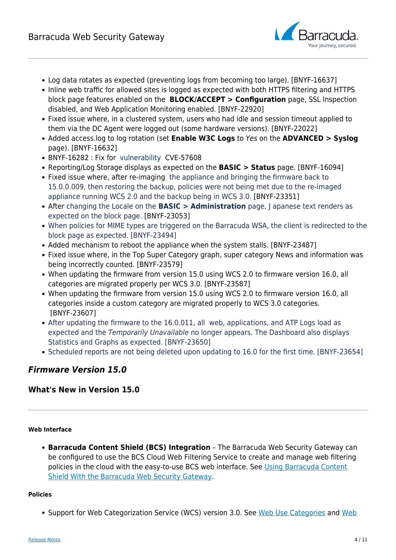

- Log data rotates as expected (preventing logs from becoming too large). [BNYF-16637]
- Inline web traffic for allowed sites is logged as expected with both HTTPS filtering and HTTPS block page features enabled on the **BLOCK/ACCEPT > Configuration** page, SSL Inspection disabled, and Web Application Monitoring enabled. [BNYF-22920]
- Fixed issue where, in a clustered system, users who had idle and session timeout applied to them via the DC Agent were logged out (some hardware versions). [BNYF-22022]
- Added access.log to log rotation (set **Enable W3C Logs** to Yes on the **ADVANCED > Syslog** page). [BNYF-16632]
- BNYF-16282 : Fix for vulnerability CVE-57608
- Reporting/Log Storage displays as expected on the **BASIC > Status** page. [BNYF-16094]
- Fixed issue where, after re-imaging the appliance and bringing the firmware back to 15.0.0.009, then restoring the backup, policies were not being met due to the re-imaged appliance running WCS 2.0 and the backup being in WCS 3.0. [BNYF-23351]
- After changing the Locale on the **BASIC > Administration** page, J apanese text renders as expected on the block page. [BNYF-23053]
- When policies for MIME types are triggered on the Barracuda WSA, the client is redirected to the block page as expected. [BNYF-23494]
- Added mechanism to reboot the appliance when the system stalls. [BNYF-23487]
- Fixed issue where, in the Top Super Category graph, super category News and information was being incorrectly counted. [BNYF-23579]
- When updating the firmware from version 15.0 using WCS 2.0 to firmware version 16.0, all categories are migrated properly per WCS 3.0. [BNYF-23587]
- When updating the firmware from version 15.0 using WCS 2.0 to firmware version 16.0, all categories inside a custom category are migrated properly to WCS 3.0 categories. [BNYF-23607]
- After updating the firmware to the 16.0.011, all web, applications, and ATP Logs load as expected and the Temporarily Unavailable no longer appears. The Dashboard also displays Statistics and Graphs as expected. [BNYF-23650]
- Scheduled reports are not being deleted upon updating to 16.0 for the first time. [BNYF-23654]

## *Firmware Version 15.0*

## **What's New in Version 15.0**

#### **Web Interface**

**Barracuda Content Shield (BCS) Integration** – The Barracuda Web Security Gateway can be configured to use the BCS Cloud Web Filtering Service to create and manage web filtering policies in the cloud with the easy-to-use BCS web interface. See [Using Barracuda Content](http://campus.barracuda.com/doc/91132503/) [Shield With the Barracuda Web Security Gateway](http://campus.barracuda.com/doc/91132503/).

#### **Policies**

• Support for Web Categorization Service (WCS) version 3.0. See [Web Use Categories](http://campus.barracuda.com/doc/90441559/) and [Web](http://campus.barracuda.com/doc/90441547/)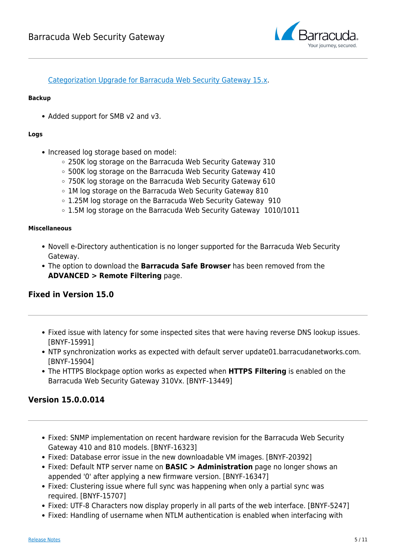

[Categorization Upgrade for Barracuda Web Security Gateway 15.x.](http://campus.barracuda.com/doc/90441547/)

#### **Backup**

• Added support for SMB v2 and v3.

#### **Logs**

- Increased log storage based on model:
	- 250K log storage on the Barracuda Web Security Gateway 310
	- 500K log storage on the Barracuda Web Security Gateway 410
	- 750K log storage on the Barracuda Web Security Gateway 610
	- 1M log storage on the Barracuda Web Security Gateway 810
	- 1.25M log storage on the Barracuda Web Security Gateway 910
	- 1.5M log storage on the Barracuda Web Security Gateway 1010/1011

#### **Miscellaneous**

- Novell e-Directory authentication is no longer supported for the Barracuda Web Security Gateway.
- The option to download the **Barracuda Safe Browser** has been removed from the **ADVANCED > Remote Filtering** page.

## **Fixed in Version 15.0**

- Fixed issue with latency for some inspected sites that were having reverse DNS lookup issues. [BNYF-15991]
- NTP synchronization works as expected with default server update01.barracudanetworks.com. [BNYF-15904]
- The HTTPS Blockpage option works as expected when **HTTPS Filtering** is enabled on the Barracuda Web Security Gateway 310Vx. [BNYF-13449]

## **Version 15.0.0.014**

- Fixed: SNMP implementation on recent hardware revision for the Barracuda Web Security Gateway 410 and 810 models. [BNYF-16323]
- Fixed: Database error issue in the new downloadable VM images. [BNYF-20392]
- Fixed: Default NTP server name on **BASIC > Administration** page no longer shows an appended '0' after applying a new firmware version. [BNYF-16347]
- Fixed: Clustering issue where full sync was happening when only a partial sync was required. [BNYF-15707]
- Fixed: UTF-8 Characters now display properly in all parts of the web interface. [BNYF-5247]
- Fixed: Handling of username when NTLM authentication is enabled when interfacing with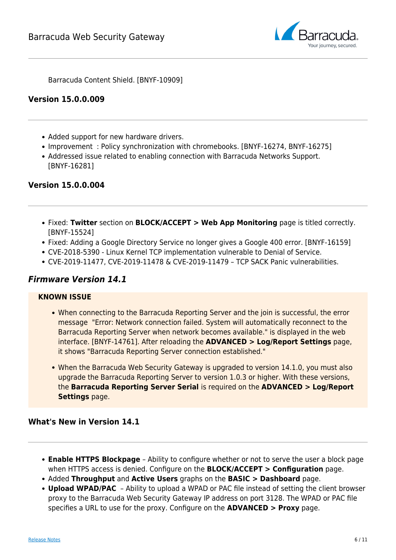

Barracuda Content Shield. [BNYF-10909]

## **Version 15.0.0.009**

- Added support for new hardware drivers.
- Improvement : Policy synchronization with chromebooks. [BNYF-16274, BNYF-16275]
- Addressed issue related to enabling connection with Barracuda Networks Support. [BNYF-16281]

## **Version 15.0.0.004**

- Fixed: **Twitter** section on **BLOCK/ACCEPT > Web App Monitoring** page is titled correctly. [BNYF-15524]
- Fixed: Adding a Google Directory Service no longer gives a Google 400 error. [BNYF-16159]
- CVE-2018-5390 Linux Kernel TCP implementation vulnerable to Denial of Service.
- CVE-2019-11477, CVE-2019-11478 & CVE-2019-11479 TCP SACK Panic vulnerabilities.

## *Firmware Version 14.1*

#### **KNOWN ISSUE**

- When connecting to the Barracuda Reporting Server and the join is successful, the error message "Error: Network connection failed. System will automatically reconnect to the Barracuda Reporting Server when network becomes available." is displayed in the web interface. [BNYF-14761]. After reloading the **ADVANCED > Log/Report Settings** page, it shows "Barracuda Reporting Server connection established."
- When the Barracuda Web Security Gateway is upgraded to version 14.1.0, you must also upgrade the Barracuda Reporting Server to version 1.0.3 or higher. With these versions, the **Barracuda Reporting Server Serial** is required on the **ADVANCED > Log/Report Settings** page.

### **What's New in Version 14.1**

- **Enable HTTPS Blockpage** Ability to configure whether or not to serve the user a block page when HTTPS access is denied. Configure on the **BLOCK/ACCEPT > Configuration** page.
- Added **Throughput** and **Active Users** graphs on the **BASIC > Dashboard** page.
- **Upload WPAD/PAC** Ability to upload a WPAD or PAC file instead of setting the client browser proxy to the Barracuda Web Security Gateway IP address on port 3128. The WPAD or PAC file specifies a URL to use for the proxy. Configure on the **ADVANCED > Proxy** page.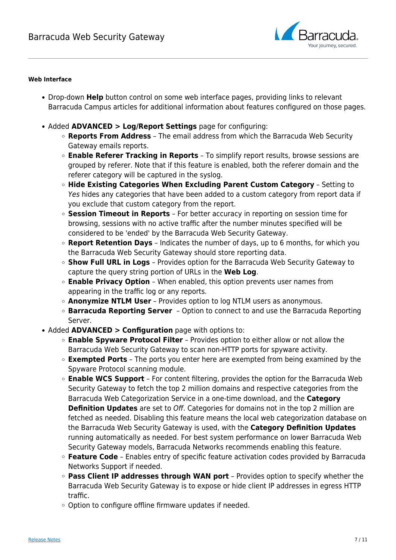

#### **Web Interface**

- Drop-down **Help** button control on some web interface pages, providing links to relevant Barracuda Campus articles for additional information about features configured on those pages.
- Added **ADVANCED > Log/Report Settings** page for configuring:
	- **Reports From Address** The email address from which the Barracuda Web Security Gateway emails reports.
	- **Enable Referer Tracking in Reports** To simplify report results, browse sessions are grouped by referer. Note that if this feature is enabled, both the referer domain and the referer category will be captured in the syslog.
	- **Hide Existing Categories When Excluding Parent Custom Category** Setting to Yes hides any categories that have been added to a custom category from report data if you exclude that custom category from the report.
	- **Session Timeout in Reports** For better accuracy in reporting on session time for browsing, sessions with no active traffic after the number minutes specified will be considered to be 'ended' by the Barracuda Web Security Gateway.
	- **Report Retention Days** Indicates the number of days, up to 6 months, for which you the Barracuda Web Security Gateway should store reporting data.
	- **Show Full URL in Logs** Provides option for the Barracuda Web Security Gateway to capture the query string portion of URLs in the **Web Log**.
	- **Enable Privacy Option** When enabled, this option prevents user names from appearing in the traffic log or any reports.
	- **Anonymize NTLM User** Provides option to log NTLM users as anonymous.
	- **Barracuda Reporting Server** Option to connect to and use the Barracuda Reporting Server.
- Added **ADVANCED > Configuration** page with options to:
	- **Enable Spyware Protocol Filter** Provides option to either allow or not allow the Barracuda Web Security Gateway to scan non-HTTP ports for spyware activity.
	- **Exempted Ports** The ports you enter here are exempted from being examined by the Spyware Protocol scanning module.
	- **Enable WCS Support** For content filtering, provides the option for the Barracuda Web Security Gateway to fetch the top 2 million domains and respective categories from the Barracuda Web Categorization Service in a one-time download, and the **Category Definition Updates** are set to Off. Categories for domains not in the top 2 million are fetched as needed. Disabling this feature means the local web categorization database on the Barracuda Web Security Gateway is used, with the **Category Definition Updates** running automatically as needed. For best system performance on lower Barracuda Web Security Gateway models, Barracuda Networks recommends enabling this feature.
	- **Feature Code** Enables entry of specific feature activation codes provided by Barracuda Networks Support if needed.
	- **Pass Client IP addresses through WAN port** Provides option to specify whether the Barracuda Web Security Gateway is to expose or hide client IP addresses in egress HTTP traffic.
	- Option to configure offline firmware updates if needed.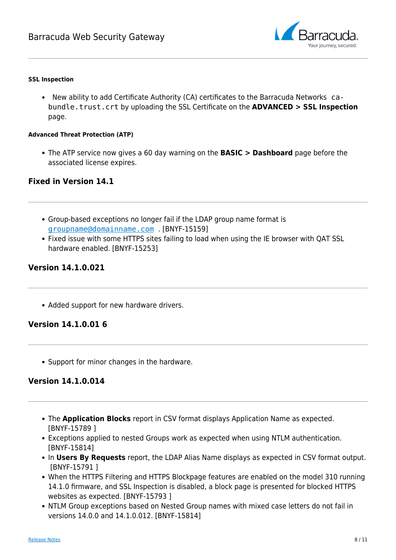

#### **SSL Inspection**

New ability to add Certificate Authority (CA) certificates to the Barracuda Networks cabundle.trust.crt by uploading the SSL Certificate on the **ADVANCED > SSL Inspection** page.

#### **Advanced Threat Protection (ATP)**

The ATP service now gives a 60 day warning on the **BASIC > Dashboard** page before the associated license expires.

## **Fixed in Version 14.1**

- Group-based exceptions no longer fail if the LDAP group name format is [groupname@domainname.com](mailto:groupname@domainname.com) . [BNYF-15159]
- Fixed issue with some HTTPS sites failing to load when using the IE browser with QAT SSL hardware enabled. [BNYF-15253]

## **Version 14.1.0.021**

• Added support for new hardware drivers.

## **Version 14.1.0.01 6**

• Support for minor changes in the hardware.

## **Version 14.1.0.014**

- The **Application Blocks** report in CSV format displays Application Name as expected. [BNYF-15789 ]
- Exceptions applied to nested Groups work as expected when using NTLM authentication. [BNYF-15814]
- In Users By Requests report, the LDAP Alias Name displays as expected in CSV format output. [BNYF-15791 ]
- When the HTTPS Filtering and HTTPS Blockpage features are enabled on the model 310 running 14.1.0 firmware, and SSL Inspection is disabled, a block page is presented for blocked HTTPS websites as expected. [BNYF-15793 ]
- NTLM Group exceptions based on Nested Group names with mixed case letters do not fail in versions 14.0.0 and 14.1.0.012. [BNYF-15814]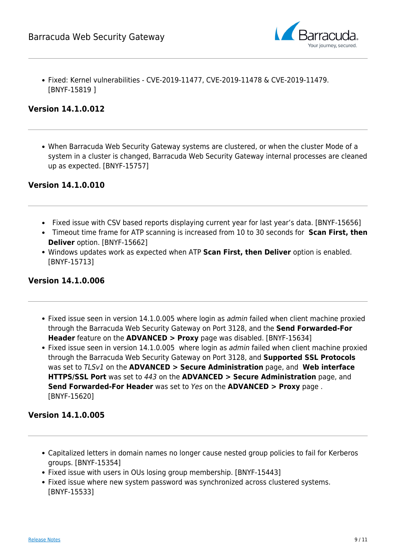

Fixed: Kernel vulnerabilities - CVE-2019-11477, CVE-2019-11478 & CVE-2019-11479. [BNYF-15819 ]

## **Version 14.1.0.012**

When Barracuda Web Security Gateway systems are clustered, or when the cluster Mode of a system in a cluster is changed, Barracuda Web Security Gateway internal processes are cleaned up as expected. [BNYF-15757]

## **Version 14.1.0.010**

- Fixed issue with CSV based reports displaying current year for last year's data. [BNYF-15656]
- Timeout time frame for ATP scanning is increased from 10 to 30 seconds for **Scan First, then Deliver** option. [BNYF-15662]
- Windows updates work as expected when ATP **Scan First, then Deliver** option is enabled. [BNYF-15713]

## **Version 14.1.0.006**

- Fixed issue seen in version 14.1.0.005 where login as *admin* failed when client machine proxied through the Barracuda Web Security Gateway on Port 3128, and the **Send Forwarded-For Header** feature on the **ADVANCED > Proxy** page was disabled. [BNYF-15634]
- Fixed issue seen in version 14.1.0.005 where login as *admin* failed when client machine proxied through the Barracuda Web Security Gateway on Port 3128, and **Supported SSL Protocols** was set to TLSv1 on the **ADVANCED > Secure Administration** page, and **Web interface HTTPS/SSL Port** was set to 443 on the **ADVANCED > Secure Administration** page, and **Send Forwarded-For Header** was set to Yes on the **ADVANCED > Proxy** page . [BNYF-15620]

## **Version 14.1.0.005**

- Capitalized letters in domain names no longer cause nested group policies to fail for Kerberos groups. [BNYF-15354]
- Fixed issue with users in OUs losing group membership. [BNYF-15443]
- Fixed issue where new system password was synchronized across clustered systems. [BNYF-15533]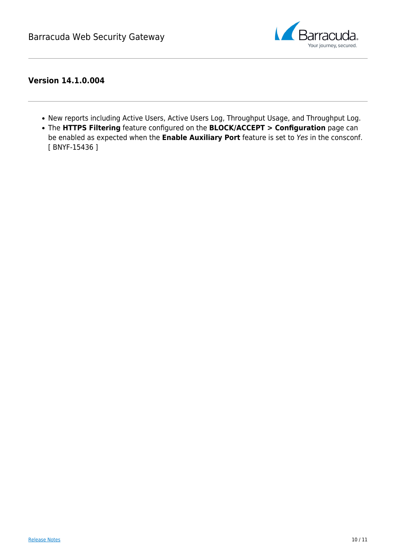

## **Version 14.1.0.004**

- New reports including Active Users, Active Users Log, Throughput Usage, and Throughput Log.
- The **HTTPS Filtering** feature configured on the **BLOCK/ACCEPT > Configuration** page can be enabled as expected when the **Enable Auxiliary Port** feature is set to Yes in the consconf. [ BNYF-15436 ]